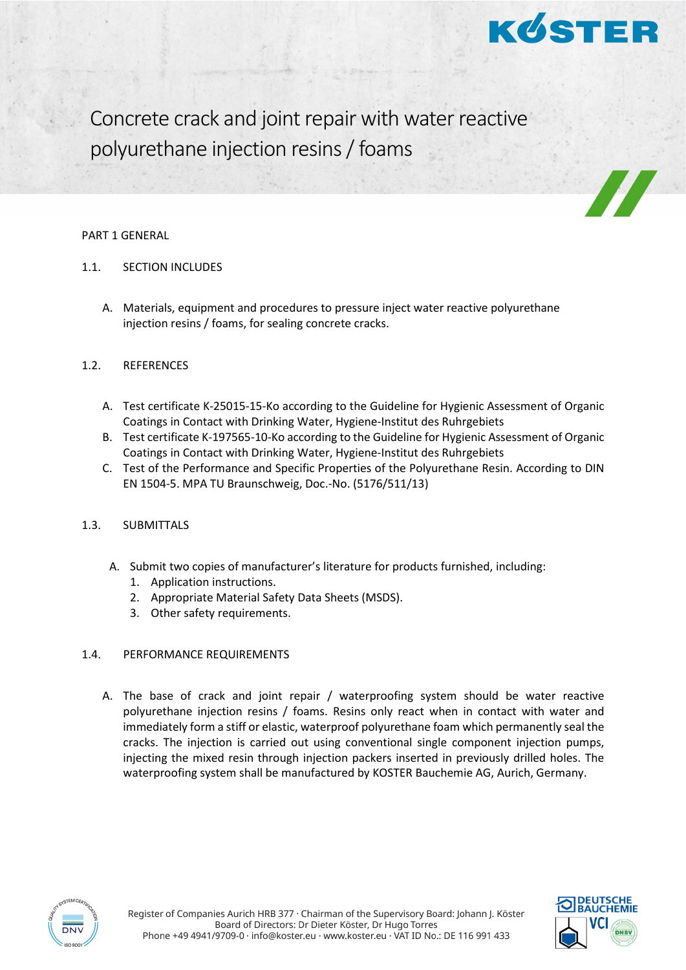

Concrete crack and joint repair with water reactive polyurethane injection resins/ foams

#### PART 1 GENERAL

- 1.1. SECTION INCLUDES
	- A. Materials, equipment and procedures to pressure inject water reactive polyurethane injection resins / foams, for sealing concrete cracks.

## 1.2. REFERENCES

- A. Test certificate K-25015-15-Ko according to the Guideline for Hygienic Assessment of Organic Coatings in Contact with Drinking Water, Hygiene-Institut des Ruhrgebiets
- B. Test certificate K-197565-10-Ko according to the Guideline for Hygienic Assessment of Organic Coatings in Contact with Drinking Water, Hygiene-Institut des Ruhrgebiets
- C. Test of the Performance and Specific Properties of the Polyurethane Resin. According to DIN EN 1504-5. MPA TU Braunschweig, Doc.-No. (5176/511/13)

# 1.3. SUBMITTALS

- A. Submit two copies of manufacturer's literature for products furnished, including:
	- 1. Application instructions.
	- 2. Appropriate Material Safety Data Sheets (MSDS).
	- 3. Other safety requirements.

## 1.4. PERFORMANCE REQUIREMENTS

A. The base of crack and joint repair / waterproofing system should be water reactive polyurethane injection resins / foams. Resins only react when in contact with water and immediately form a stiff or elastic, waterproof polyurethane foam which permanently seal the cracks. The injection is carried out using conventional single component injection pumps, injecting the mixed resin through injection packers inserted in previously drilled holes. The waterproofing system shall be manufactured by KOSTER Bauchemie AG, Aurich, Germany.



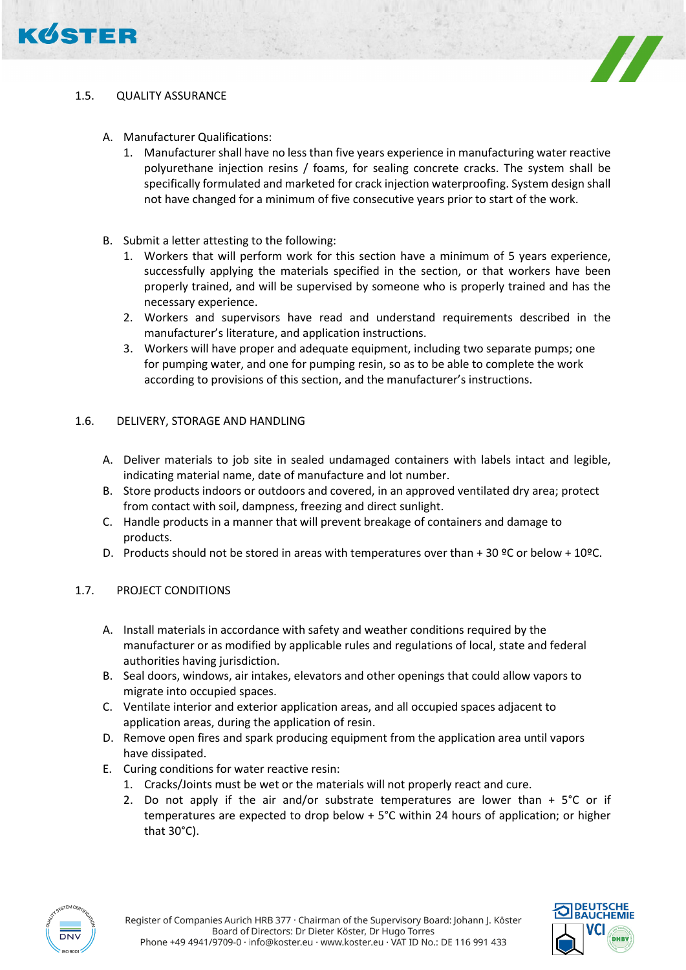



# 1.5. QUALITY ASSURANCE

- A. Manufacturer Qualifications:
	- 1. Manufacturer shall have no less than five years experience in manufacturing water reactive polyurethane injection resins / foams, for sealing concrete cracks. The system shall be specifically formulated and marketed for crack injection waterproofing. System design shall not have changed for a minimum of five consecutive years prior to start of the work.
- B. Submit a letter attesting to the following:
	- 1. Workers that will perform work for this section have a minimum of 5 years experience, successfully applying the materials specified in the section, or that workers have been properly trained, and will be supervised by someone who is properly trained and has the necessary experience.
	- 2. Workers and supervisors have read and understand requirements described in the manufacturer's literature, and application instructions.
	- 3. Workers will have proper and adequate equipment, including two separate pumps; one for pumping water, and one for pumping resin, so as to be able to complete the work according to provisions of this section, and the manufacturer's instructions.

# 1.6. DELIVERY, STORAGE AND HANDLING

- A. Deliver materials to job site in sealed undamaged containers with labels intact and legible, indicating material name, date of manufacture and lot number.
- B. Store products indoors or outdoors and covered, in an approved ventilated dry area; protect from contact with soil, dampness, freezing and direct sunlight.
- C. Handle products in a manner that will prevent breakage of containers and damage to products.
- D. Products should not be stored in areas with temperatures over than + 30 °C or below + 10°C.

## 1.7. PROJECT CONDITIONS

- A. Install materials in accordance with safety and weather conditions required by the manufacturer or as modified by applicable rules and regulations of local, state and federal authorities having jurisdiction.
- B. Seal doors, windows, air intakes, elevators and other openings that could allow vapors to migrate into occupied spaces.
- C. Ventilate interior and exterior application areas, and all occupied spaces adjacent to application areas, during the application of resin.
- D. Remove open fires and spark producing equipment from the application area until vapors have dissipated.
- E. Curing conditions for water reactive resin:
	- 1. Cracks/Joints must be wet or the materials will not properly react and cure.
	- 2. Do not apply if the air and/or substrate temperatures are lower than  $+5^{\circ}$ C or if temperatures are expected to drop below + 5°C within 24 hours of application; or higher that 30°C).



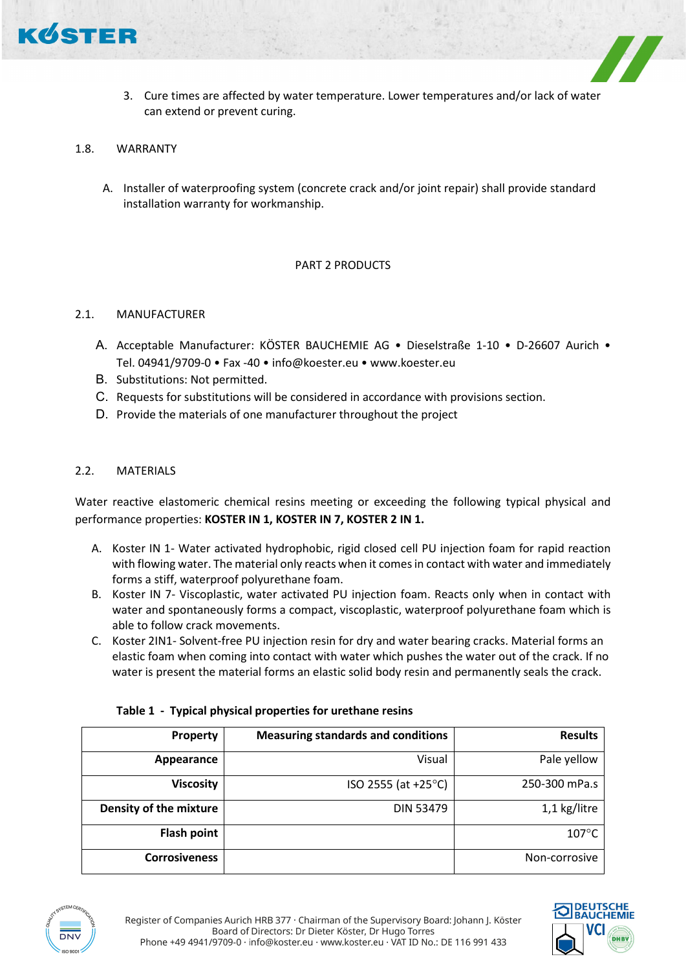

3. Cure times are affected by water temperature. Lower temperatures and/or lack of water can extend or prevent curing.

### 1.8. WARRANTY

A. Installer of waterproofing system (concrete crack and/or joint repair) shall provide standard installation warranty for workmanship.

## PART 2 PRODUCTS

#### 2.1. MANUFACTURER

- A. Acceptable Manufacturer: KÖSTER BAUCHEMIE AG Dieselstraße 1-10 D-26607 Aurich Tel. 04941/9709-0 • Fax -40 • info@koester.eu • www.koester.eu
- B. Substitutions: Not permitted.
- C. Requests for substitutions will be considered in accordance with provisions section.
- D. Provide the materials of one manufacturer throughout the project

#### 2.2. MATERIALS

Water reactive elastomeric chemical resins meeting or exceeding the following typical physical and performance properties: **KOSTER IN 1, KOSTER IN 7, KOSTER 2 IN 1.**

- A. Koster IN 1- Water activated hydrophobic, rigid closed cell PU injection foam for rapid reaction with flowing water. The material only reacts when it comes in contact with water and immediately forms a stiff, waterproof polyurethane foam.
- B. Koster IN 7- Viscoplastic, water activated PU injection foam. Reacts only when in contact with water and spontaneously forms a compact, viscoplastic, waterproof polyurethane foam which is able to follow crack movements.
- C. Koster 2IN1- Solvent-free PU injection resin for dry and water bearing cracks. Material forms an elastic foam when coming into contact with water which pushes the water out of the crack. If no water is present the material forms an elastic solid body resin and permanently seals the crack.

| Property               | <b>Measuring standards and conditions</b> | <b>Results</b>  |
|------------------------|-------------------------------------------|-----------------|
| Appearance             | Visual                                    | Pale yellow     |
| <b>Viscosity</b>       | $ISO 2555 (at +25°C)$                     | 250-300 mPa.s   |
| Density of the mixture | <b>DIN 53479</b>                          | 1,1 kg/litre    |
| Flash point            |                                           | $107^{\circ}$ C |
| <b>Corrosiveness</b>   |                                           | Non-corrosive   |

## **Table 1 - Typical physical properties for urethane resins**



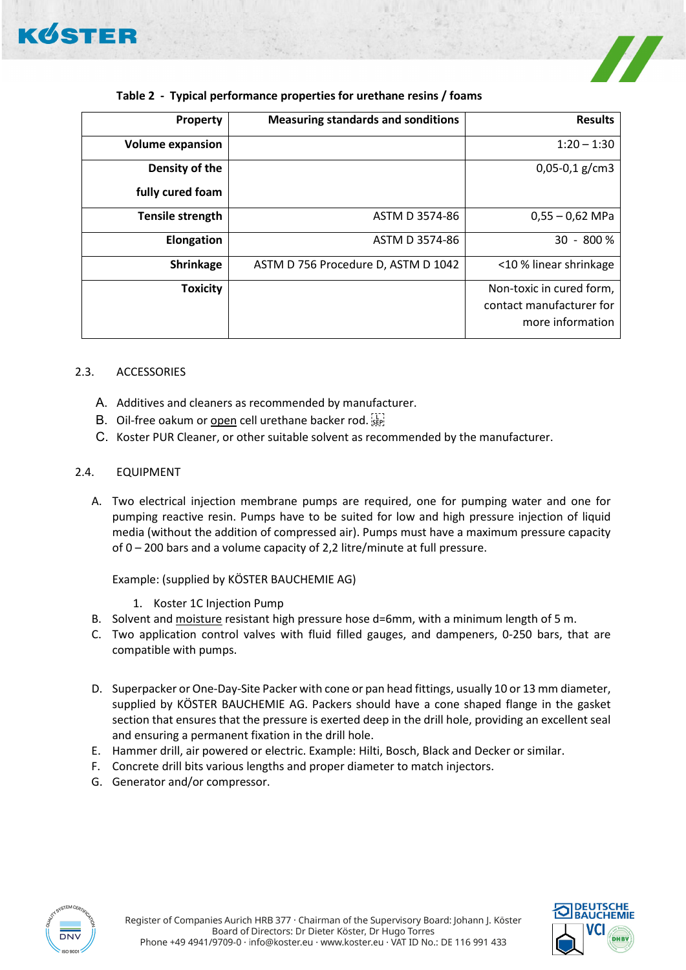

| <b>Property</b>         | <b>Measuring standards and sonditions</b> | <b>Results</b>                                                           |
|-------------------------|-------------------------------------------|--------------------------------------------------------------------------|
| <b>Volume expansion</b> |                                           | $1:20 - 1:30$                                                            |
| Density of the          |                                           | $0,05-0,1$ g/cm3                                                         |
| fully cured foam        |                                           |                                                                          |
| Tensile strength        | ASTM D 3574-86                            | $0,55 - 0,62$ MPa                                                        |
| <b>Elongation</b>       | ASTM D 3574-86                            | $30 - 800 %$                                                             |
| Shrinkage               | ASTM D 756 Procedure D, ASTM D 1042       | <10 % linear shrinkage                                                   |
| <b>Toxicity</b>         |                                           | Non-toxic in cured form,<br>contact manufacturer for<br>more information |

# **Table 2 - Typical performance properties for urethane resins / foams**

## 2.3. ACCESSORIES

- A. Additives and cleaners as recommended by manufacturer.
- B. Oil-free oakum or open cell urethane backer rod.
- C. Koster PUR Cleaner, or other suitable solvent as recommended by the manufacturer.

# 2.4. EQUIPMENT

A. Two electrical injection membrane pumps are required, one for pumping water and one for pumping reactive resin. Pumps have to be suited for low and high pressure injection of liquid media (without the addition of compressed air). Pumps must have a maximum pressure capacity of 0 – 200 bars and a volume capacity of 2,2 litre/minute at full pressure.

Example: (supplied by KÖSTER BAUCHEMIE AG)

- 1. Koster 1C Injection Pump
- B. Solvent and moisture resistant high pressure hose d=6mm, with a minimum length of 5 m.
- C. Two application control valves with fluid filled gauges, and dampeners, 0-250 bars, that are compatible with pumps.
- D. Superpacker or One-Day-Site Packer with cone or pan head fittings, usually 10 or 13 mm diameter, supplied by KÖSTER BAUCHEMIE AG. Packers should have a cone shaped flange in the gasket section that ensures that the pressure is exerted deep in the drill hole, providing an excellent seal and ensuring a permanent fixation in the drill hole.
- E. Hammer drill, air powered or electric. Example: Hilti, Bosch, Black and Decker or similar.
- F. Concrete drill bits various lengths and proper diameter to match injectors.
- G. Generator and/or compressor.



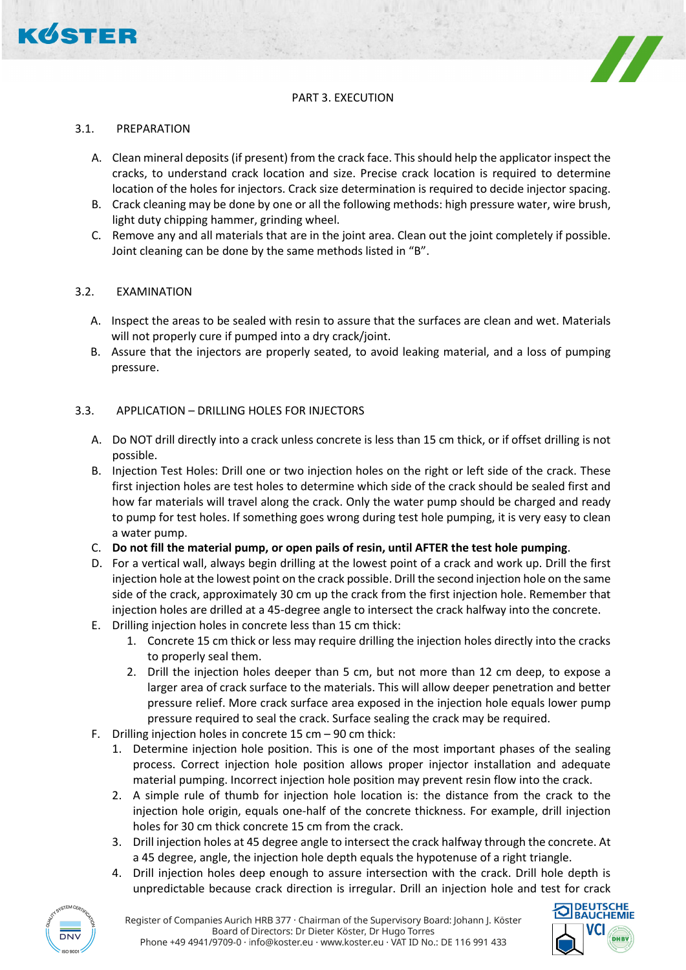

# PART 3. EXECUTION

### 3.1. PREPARATION

- A. Clean mineral deposits (if present) from the crack face. This should help the applicator inspect the cracks, to understand crack location and size. Precise crack location is required to determine location of the holes for injectors. Crack size determination is required to decide injector spacing.
- B. Crack cleaning may be done by one or all the following methods: high pressure water, wire brush, light duty chipping hammer, grinding wheel.
- C. Remove any and all materials that are in the joint area. Clean out the joint completely if possible. Joint cleaning can be done by the same methods listed in "B".

## 3.2. EXAMINATION

- A. Inspect the areas to be sealed with resin to assure that the surfaces are clean and wet. Materials will not properly cure if pumped into a dry crack/joint.
- B. Assure that the injectors are properly seated, to avoid leaking material, and a loss of pumping pressure.

#### 3.3. APPLICATION – DRILLING HOLES FOR INJECTORS

- A. Do NOT drill directly into a crack unless concrete is less than 15 cm thick, or if offset drilling is not possible.
- B. Injection Test Holes: Drill one or two injection holes on the right or left side of the crack. These first injection holes are test holes to determine which side of the crack should be sealed first and how far materials will travel along the crack. Only the water pump should be charged and ready to pump for test holes. If something goes wrong during test hole pumping, it is very easy to clean a water pump.
- C. **Do not fill the material pump, or open pails of resin, until AFTER the test hole pumping**.
- D. For a vertical wall, always begin drilling at the lowest point of a crack and work up. Drill the first injection hole at the lowest point on the crack possible. Drill the second injection hole on the same side of the crack, approximately 30 cm up the crack from the first injection hole. Remember that injection holes are drilled at a 45-degree angle to intersect the crack halfway into the concrete.
- E. Drilling injection holes in concrete less than 15 cm thick:
	- 1. Concrete 15 cm thick or less may require drilling the injection holes directly into the cracks to properly seal them.
	- 2. Drill the injection holes deeper than 5 cm, but not more than 12 cm deep, to expose a larger area of crack surface to the materials. This will allow deeper penetration and better pressure relief. More crack surface area exposed in the injection hole equals lower pump pressure required to seal the crack. Surface sealing the crack may be required.
- F. Drilling injection holes in concrete 15 cm 90 cm thick:
	- 1. Determine injection hole position. This is one of the most important phases of the sealing process. Correct injection hole position allows proper injector installation and adequate material pumping. Incorrect injection hole position may prevent resin flow into the crack.
	- 2. A simple rule of thumb for injection hole location is: the distance from the crack to the injection hole origin, equals one-half of the concrete thickness. For example, drill injection holes for 30 cm thick concrete 15 cm from the crack.
	- 3. Drill injection holes at 45 degree angle to intersect the crack halfway through the concrete. At a 45 degree, angle, the injection hole depth equals the hypotenuse of a right triangle.
	- 4. Drill injection holes deep enough to assure intersection with the crack. Drill hole depth is unpredictable because crack direction is irregular. Drill an injection hole and test for crack



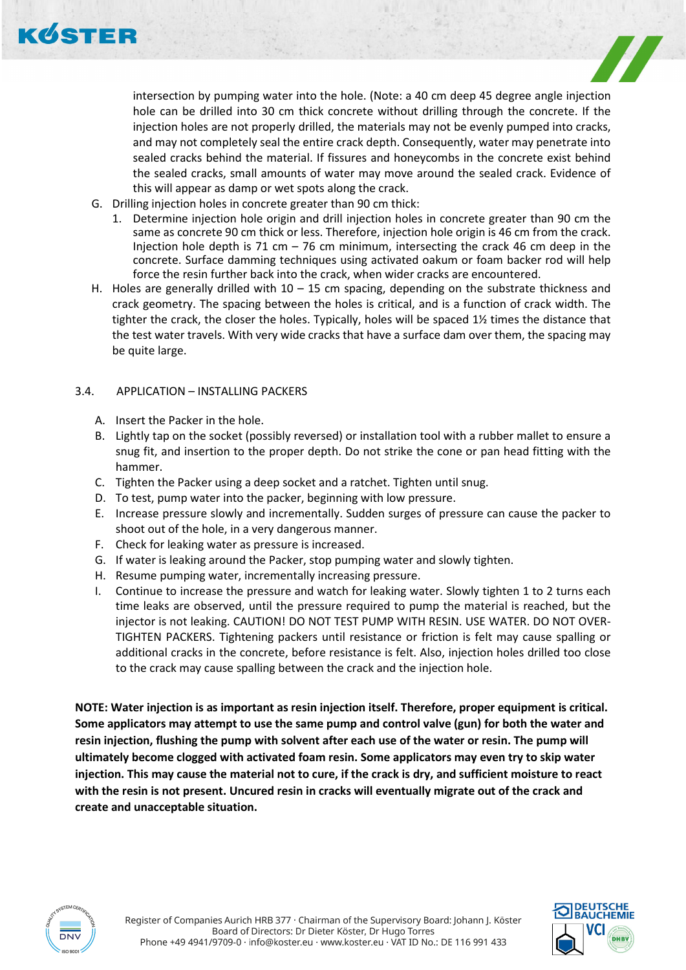



intersection by pumping water into the hole. (Note: a 40 cm deep 45 degree angle injection hole can be drilled into 30 cm thick concrete without drilling through the concrete. If the injection holes are not properly drilled, the materials may not be evenly pumped into cracks, and may not completely seal the entire crack depth. Consequently, water may penetrate into sealed cracks behind the material. If fissures and honeycombs in the concrete exist behind the sealed cracks, small amounts of water may move around the sealed crack. Evidence of this will appear as damp or wet spots along the crack.

- G. Drilling injection holes in concrete greater than 90 cm thick:
	- 1. Determine injection hole origin and drill injection holes in concrete greater than 90 cm the same as concrete 90 cm thick or less. Therefore, injection hole origin is 46 cm from the crack. Injection hole depth is 71 cm  $-$  76 cm minimum, intersecting the crack 46 cm deep in the concrete. Surface damming techniques using activated oakum or foam backer rod will help force the resin further back into the crack, when wider cracks are encountered.
- H. Holes are generally drilled with  $10 15$  cm spacing, depending on the substrate thickness and crack geometry. The spacing between the holes is critical, and is a function of crack width. The tighter the crack, the closer the holes. Typically, holes will be spaced 1½ times the distance that the test water travels. With very wide cracks that have a surface dam over them, the spacing may be quite large.

#### 3.4. APPLICATION – INSTALLING PACKERS

- A. Insert the Packer in the hole.
- B. Lightly tap on the socket (possibly reversed) or installation tool with a rubber mallet to ensure a snug fit, and insertion to the proper depth. Do not strike the cone or pan head fitting with the hammer.
- C. Tighten the Packer using a deep socket and a ratchet. Tighten until snug.
- D. To test, pump water into the packer, beginning with low pressure.
- E. Increase pressure slowly and incrementally. Sudden surges of pressure can cause the packer to shoot out of the hole, in a very dangerous manner.
- F. Check for leaking water as pressure is increased.
- G. If water is leaking around the Packer, stop pumping water and slowly tighten.
- H. Resume pumping water, incrementally increasing pressure.
- I. Continue to increase the pressure and watch for leaking water. Slowly tighten 1 to 2 turns each time leaks are observed, until the pressure required to pump the material is reached, but the injector is not leaking. CAUTION! DO NOT TEST PUMP WITH RESIN. USE WATER. DO NOT OVER-TIGHTEN PACKERS. Tightening packers until resistance or friction is felt may cause spalling or additional cracks in the concrete, before resistance is felt. Also, injection holes drilled too close to the crack may cause spalling between the crack and the injection hole.

**NOTE: Water injection is as important as resin injection itself. Therefore, proper equipment is critical. Some applicators may attempt to use the same pump and control valve (gun) for both the water and resin injection, flushing the pump with solvent after each use of the water or resin. The pump will ultimately become clogged with activated foam resin. Some applicators may even try to skip water injection. This may cause the material not to cure, if the crack is dry, and sufficient moisture to react with the resin is not present. Uncured resin in cracks will eventually migrate out of the crack and create and unacceptable situation.**



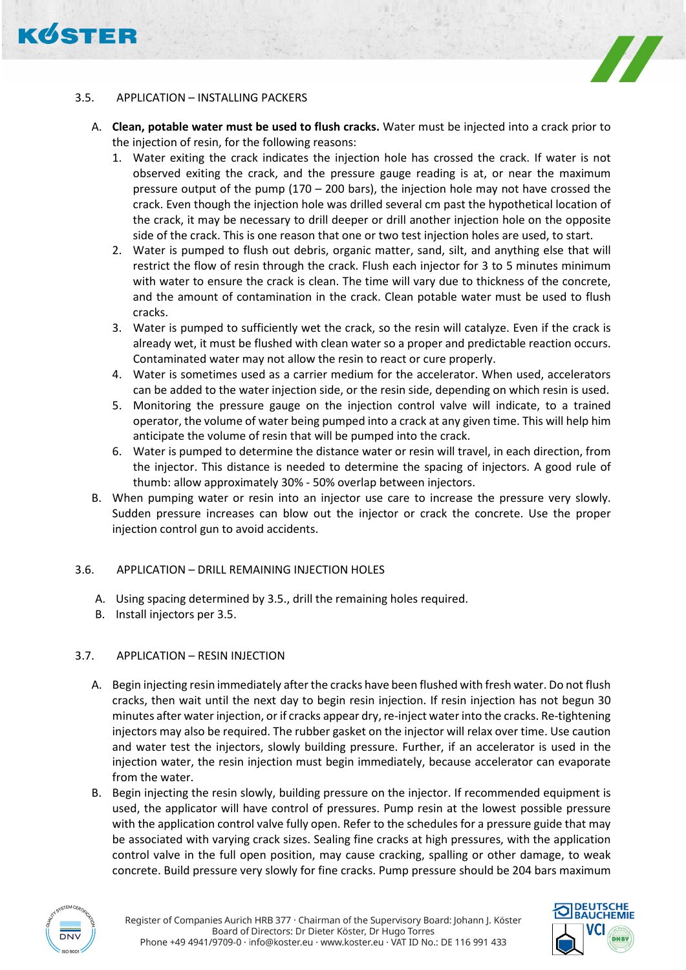# **KØSTER**



# 3.5. APPLICATION – INSTALLING PACKERS

- A. **Clean, potable water must be used to flush cracks.** Water must be injected into a crack prior to the injection of resin, for the following reasons:
	- 1. Water exiting the crack indicates the injection hole has crossed the crack. If water is not observed exiting the crack, and the pressure gauge reading is at, or near the maximum pressure output of the pump  $(170 - 200 \text{ bars})$ , the injection hole may not have crossed the crack. Even though the injection hole was drilled several cm past the hypothetical location of the crack, it may be necessary to drill deeper or drill another injection hole on the opposite side of the crack. This is one reason that one or two test injection holes are used, to start.
	- 2. Water is pumped to flush out debris, organic matter, sand, silt, and anything else that will restrict the flow of resin through the crack. Flush each injector for 3 to 5 minutes minimum with water to ensure the crack is clean. The time will vary due to thickness of the concrete, and the amount of contamination in the crack. Clean potable water must be used to flush cracks.
	- 3. Water is pumped to sufficiently wet the crack, so the resin will catalyze. Even if the crack is already wet, it must be flushed with clean water so a proper and predictable reaction occurs. Contaminated water may not allow the resin to react or cure properly.
	- 4. Water is sometimes used as a carrier medium for the accelerator. When used, accelerators can be added to the water injection side, or the resin side, depending on which resin is used.
	- 5. Monitoring the pressure gauge on the injection control valve will indicate, to a trained operator, the volume of water being pumped into a crack at any given time. This will help him anticipate the volume of resin that will be pumped into the crack.
	- 6. Water is pumped to determine the distance water or resin will travel, in each direction, from the injector. This distance is needed to determine the spacing of injectors. A good rule of thumb: allow approximately 30% - 50% overlap between injectors.
- B. When pumping water or resin into an injector use care to increase the pressure very slowly. Sudden pressure increases can blow out the injector or crack the concrete. Use the proper injection control gun to avoid accidents.

## 3.6. APPLICATION – DRILL REMAINING INJECTION HOLES

- A. Using spacing determined by 3.5., drill the remaining holes required.
- B. Install injectors per 3.5.

# 3.7. APPLICATION – RESIN INJECTION

- A. Begin injecting resin immediately after the cracks have been flushed with fresh water. Do not flush cracks, then wait until the next day to begin resin injection. If resin injection has not begun 30 minutes after water injection, or if cracks appear dry, re-inject water into the cracks. Re-tightening injectors may also be required. The rubber gasket on the injector will relax over time. Use caution and water test the injectors, slowly building pressure. Further, if an accelerator is used in the injection water, the resin injection must begin immediately, because accelerator can evaporate from the water.
- B. Begin injecting the resin slowly, building pressure on the injector. If recommended equipment is used, the applicator will have control of pressures. Pump resin at the lowest possible pressure with the application control valve fully open. Refer to the schedules for a pressure guide that may be associated with varying crack sizes. Sealing fine cracks at high pressures, with the application control valve in the full open position, may cause cracking, spalling or other damage, to weak concrete. Build pressure very slowly for fine cracks. Pump pressure should be 204 bars maximum



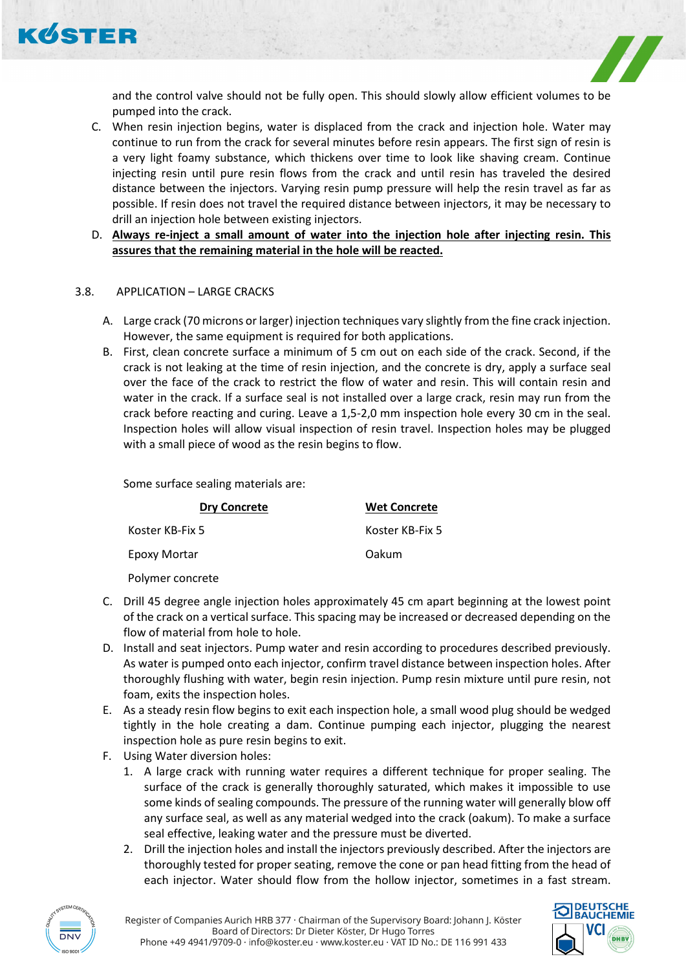

and the control valve should not be fully open. This should slowly allow efficient volumes to be pumped into the crack.

- C. When resin injection begins, water is displaced from the crack and injection hole. Water may continue to run from the crack for several minutes before resin appears. The first sign of resin is a very light foamy substance, which thickens over time to look like shaving cream. Continue injecting resin until pure resin flows from the crack and until resin has traveled the desired distance between the injectors. Varying resin pump pressure will help the resin travel as far as possible. If resin does not travel the required distance between injectors, it may be necessary to drill an injection hole between existing injectors.
- D. **Always re-inject a small amount of water into the injection hole after injecting resin. This assures that the remaining material in the hole will be reacted.**

# 3.8. APPLICATION – LARGE CRACKS

- A. Large crack (70 microns or larger) injection techniques vary slightly from the fine crack injection. However, the same equipment is required for both applications.
- B. First, clean concrete surface a minimum of 5 cm out on each side of the crack. Second, if the crack is not leaking at the time of resin injection, and the concrete is dry, apply a surface seal over the face of the crack to restrict the flow of water and resin. This will contain resin and water in the crack. If a surface seal is not installed over a large crack, resin may run from the crack before reacting and curing. Leave a 1,5-2,0 mm inspection hole every 30 cm in the seal. Inspection holes will allow visual inspection of resin travel. Inspection holes may be plugged with a small piece of wood as the resin begins to flow.

Some surface sealing materials are:

| <b>Dry Concrete</b> | <b>Wet Concrete</b> |
|---------------------|---------------------|
| Koster KB-Fix 5     | Koster KB-Fix 5     |
| Epoxy Mortar        | Oakum               |
| Polymer concrete    |                     |

C. Drill 45 degree angle injection holes approximately 45 cm apart beginning at the lowest point of the crack on a vertical surface. This spacing may be increased or decreased depending on the

- flow of material from hole to hole. D. Install and seat injectors. Pump water and resin according to procedures described previously. As water is pumped onto each injector, confirm travel distance between inspection holes. After thoroughly flushing with water, begin resin injection. Pump resin mixture until pure resin, not foam, exits the inspection holes.
- E. As a steady resin flow begins to exit each inspection hole, a small wood plug should be wedged tightly in the hole creating a dam. Continue pumping each injector, plugging the nearest inspection hole as pure resin begins to exit.
- F. Using Water diversion holes:
	- 1. A large crack with running water requires a different technique for proper sealing. The surface of the crack is generally thoroughly saturated, which makes it impossible to use some kinds of sealing compounds. The pressure of the running water will generally blow off any surface seal, as well as any material wedged into the crack (oakum). To make a surface seal effective, leaking water and the pressure must be diverted.
	- 2. Drill the injection holes and install the injectors previously described. After the injectors are thoroughly tested for proper seating, remove the cone or pan head fitting from the head of each injector. Water should flow from the hollow injector, sometimes in a fast stream.